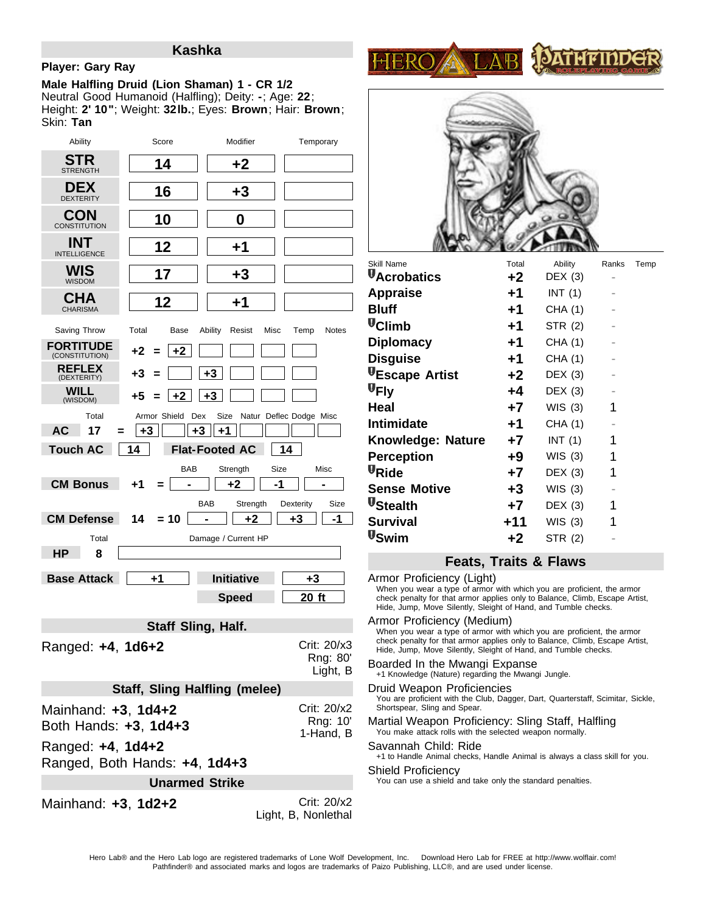## **Kashka**

## **Player: Gary Ray**

Neutral Good Humanoid (Halfling); Deity: **-**; Age: **22**; Height: **2' 10"**; Weight: **32lb.**; Eyes: **Brown**; Hair: **Brown**; Skin: **Tan Male Halfling Druid (Lion Shaman) 1 - CR 1/2**

| Ability                                                      | Score                                | Modifier                       | Temporary                          |                                              |  |  |  |  |
|--------------------------------------------------------------|--------------------------------------|--------------------------------|------------------------------------|----------------------------------------------|--|--|--|--|
| STR<br><b>STRENGTH</b>                                       | 14                                   | +2                             |                                    |                                              |  |  |  |  |
| <b>DEX</b><br><b>DEXTERITY</b>                               | 16                                   | +3                             |                                    |                                              |  |  |  |  |
| <b>CON</b><br><b>CONSTITUTION</b>                            | 10                                   | 0                              |                                    |                                              |  |  |  |  |
| <b>INT</b><br><b>INTELLIGENCE</b>                            | 12                                   | +1                             |                                    |                                              |  |  |  |  |
| WIS<br><b>WISDOM</b>                                         | 17                                   | $+3$                           |                                    | Skill Nar<br>$\Psi_\mathsf{Acr}$             |  |  |  |  |
| <b>CHA</b><br><b>CHARISMA</b>                                | 12                                   | +1                             |                                    | Appr<br><b>Bluff</b>                         |  |  |  |  |
| Saving Throw                                                 | Total<br>Base                        | Ability<br>Misc<br>Resist      | Notes<br>Temp                      | <b>U</b> Clin                                |  |  |  |  |
| <b>FORTITUDE</b><br>(CONSTITUTION)                           | $+2$<br>+2                           |                                |                                    | <b>Diplc</b><br><b>Disg</b>                  |  |  |  |  |
| <b>REFLEX</b><br>(DEXTERITY)                                 | +3                                   | $+3$                           |                                    | $\Psi_{\mathsf{Esc}}$                        |  |  |  |  |
| <b>WILL</b><br>(WISDOM)                                      | $+2$<br>+5                           | $+3$                           |                                    | $\Psi$ Fly                                   |  |  |  |  |
| Total                                                        | Armor Shield<br>Dex                  | Size                           | Natur Deflec Dodge Misc            | Heal                                         |  |  |  |  |
| <b>AC</b><br>17<br>=                                         | $+3$<br>+3                           | $+1$                           |                                    | Intim                                        |  |  |  |  |
| Knov<br><b>Touch AC</b><br>14<br><b>Flat-Footed AC</b><br>14 |                                      |                                |                                    |                                              |  |  |  |  |
|                                                              | BAB                                  | Strength<br>Size               | Misc                               | Perc<br>$\Psi_{\mathsf{R} \mathsf{id} \Phi}$ |  |  |  |  |
| <b>CM Bonus</b>                                              | +1                                   | $+2$<br>-1                     |                                    | <b>Sens</b>                                  |  |  |  |  |
| <b>CM Defense</b>                                            | 14<br>$= 10$                         | <b>BAB</b><br>Strength<br>$+2$ | Dexterity<br>Size<br>$+3$<br>-1    | $\Psi$ Stea<br><b>Surv</b>                   |  |  |  |  |
| U <sub>Swi</sub><br>Total<br>Damage / Current HP             |                                      |                                |                                    |                                              |  |  |  |  |
| HP<br>8                                                      |                                      |                                |                                    |                                              |  |  |  |  |
| <b>Base Attack</b>                                           | +1                                   | <b>Initiative</b>              | $+3$                               | Armol                                        |  |  |  |  |
|                                                              |                                      | <b>Speed</b>                   | 20 ft                              | When<br>check                                |  |  |  |  |
|                                                              |                                      |                                |                                    | Hide,                                        |  |  |  |  |
|                                                              | <b>Staff Sling, Half.</b>            |                                |                                    | Armoi<br>When                                |  |  |  |  |
| Ranged: +4, 1d6+2                                            |                                      |                                | Crit: 20/x3                        | check<br>Hide,                               |  |  |  |  |
|                                                              |                                      |                                | Rng: 80'<br>Light, B               | Boarc<br>+1 Kn                               |  |  |  |  |
|                                                              | <b>Staff, Sling Halfling (melee)</b> |                                |                                    | Druid                                        |  |  |  |  |
| Mainhand: +3, 1d4+2                                          |                                      |                                | Crit: 20/x2                        | You a<br><b>Shorts</b>                       |  |  |  |  |
| Both Hands: +3, 1d4+3                                        |                                      |                                | Rng: 10'                           | Martia<br>You n                              |  |  |  |  |
| Ranged: +4, 1d4+2                                            |                                      |                                | 1-Hand, B                          | Savar                                        |  |  |  |  |
| $+1$ to<br>Ranged, Both Hands: +4, 1d4+3<br>Shield           |                                      |                                |                                    |                                              |  |  |  |  |
| You c<br><b>Unarmed Strike</b>                               |                                      |                                |                                    |                                              |  |  |  |  |
| Mainhand: +3, 1d2+2                                          |                                      |                                | Crit: 20/x2<br>Light, B. Nonlethal |                                              |  |  |  |  |





| Skill Name               | Total | Ability | Ranks | Temp |
|--------------------------|-------|---------|-------|------|
| <b>U</b> Acrobatics      | +2    | DEX(3)  |       |      |
| <b>Appraise</b>          | +1    | INT(1)  |       |      |
| <b>Bluff</b>             | +1    | CHA (1) |       |      |
| <b>U</b> Climb           | +1    | STR (2) |       |      |
| <b>Diplomacy</b>         | +1    | CHA (1) |       |      |
| <b>Disguise</b>          | +1    | CHA (1) |       |      |
| <b>VEscape Artist</b>    | $+2$  | DEX(3)  |       |      |
| $\Psi$ Fly               | +4    | DEX(3)  |       |      |
| Heal                     | $+7$  | WIS(3)  | 1     |      |
| <b>Intimidate</b>        | +1    | CHA (1) |       |      |
| <b>Knowledge: Nature</b> | $+7$  | INT(1)  | 1     |      |
| <b>Perception</b>        | +9    | WIS(3)  | 1     |      |
| <b>U</b> Ride            | +7    | DEX(3)  | 1     |      |
| <b>Sense Motive</b>      | +3    | WIS(3)  |       |      |
| <b>U</b> Stealth         | $+7$  | DEX(3)  | 1     |      |
| <b>Survival</b>          | $+11$ | WIS(3)  | 1     |      |
| <b>V</b> Swim            | $+2$  | STR (2) |       |      |
|                          |       |         |       |      |

# **Feats, Traits & Flaws**

Crit: 20/x3 Crieck penalty for that armor applies only to Balance, Climb, Escape<br>Hide, Jump, Move Silently, Sleight of Hand, and Tumble checks. Light, B +1 Knowledge (Nature) regarding the Mwangi Jungle. Crit: 20/x2 Shortspear, Sling and Spear. 1-Hand, B You make attack rolls with the selected weapon normally. When you wear a type of armor with which you are proficient, the armor check penalty for that armor applies only to Balance, Climb, Escape Artist, Hide, Jump, Move Silently, Sleight of Hand, and Tumble checks. Armor Proficiency (Light) When you wear a type of armor with which you are proficient, the armor check penalty for that armor applies only to Balance, Climb, Escape Artist, Armor Proficiency (Medium) Boarded In the Mwangi Expanse You are proficient with the Club, Dagger, Dart, Quarterstaff, Scimitar, Sickle, Druid Weapon Proficiencies Martial Weapon Proficiency: Sling Staff, Halfling +1 to Handle Animal checks, Handle Animal is always a class skill for you. Savannah Child: Ride You can use a shield and take only the standard penalties. Shield Proficiency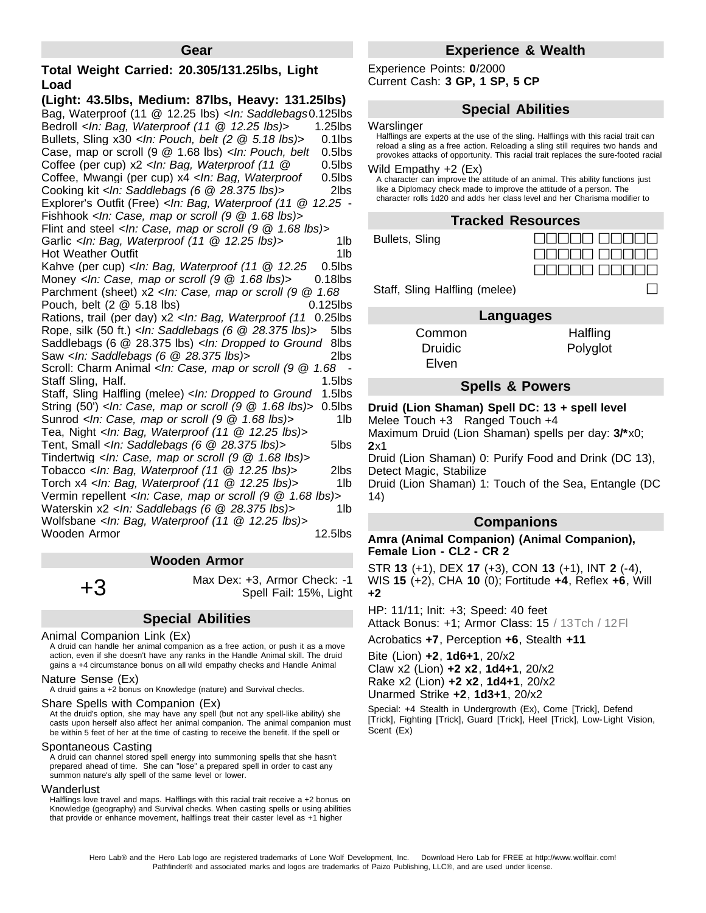## **Total Weight Carried: 20.305/131.25lbs, Light Load**

**(Light: 43.5lbs, Medium: 87lbs, Heavy: 131.25lbs)** Bag, Waterproof (11 @ 12.25 lbs) *<In: Saddlebags* 0.125lbs *(6 @ 28.375 lbs)>* Bedroll *<In: Bag, Waterproof (11 @ 12.25 lbs)>* 1.25lbs Bullets, Sling x30 *<In: Pouch, belt (2 @ 5.18 lbs)>* 0.1lbs Case, map or scroll (9 @ 1.68 lbs) *<In: Pouch, belt (2 @ 5.18 lbs)>* Coffee (per cup) x2 *<In: Bag, Waterproof (11 @* 0.5lbs *12.25 lbs)>* Coffee, Mwangi (per cup) x4 *<In: Bag, Waterproof* 0.5lbs *(11 @ 12.25 lbs)>* Cooking kit *<In: Saddlebags (6 @ 28.375 lbs)>* 2lbs 0.5lbs Explorer's Outfit (Free) *<In: Bag, Waterproof (11 @ 12.25 lbs)>* Fishhook *<In: Case, map or scroll (9 @ 1.68 lbs)>* Flint and steel *<In: Case, map or scroll (9 @ 1.68 lbs)>* Garlic *<In: Bag, Waterproof (11 @ 12.25 lbs)>* 1lb Hot Weather Outfit **1lb** Kahve (per cup) *<In: Bag, Waterproof (11 @ 12.25 lbs)>* Money *<In: Case, map or scroll (9 @ 1.68 lbs)>* 0.18lbs 0.5lbs Parchment (sheet) x2 *<In: Case, map or scroll (9 @ 1.68* Pouch, belt (2  $\omega$  5.18 lbs) 0.125lbs Rations, trail (per day) x2 *<In: Bag, Waterproof (11* 0.25lbs *@ 12.25 lbs)>* Rope, silk (50 ft.)*<In: Saddlebags (6 @ 28.375 lbs)>* 5lbs Saddlebags (6 @ 28.375 lbs) *<In: Dropped to Ground* 8lbs *(2 @ 37.875 lbs)>* Saw *<In: Saddlebags (6 @ 28.375 lbs)>* 2lbs Scroll: Charm Animal *<In: Case, map or scroll (9 @ 1.68* - *Staff Sling, Half.* 1.5lbs Staff, Sling Halfling (melee) *<In: Dropped to Ground* 1.5lbs *(2 @ 37.875 lbs)>* String (50') *<In: Case, map or scroll (9 @ 1.68 lbs)>* 0.5lbs Sunrod *<In: Case, map or scroll (9 @ 1.68 lbs)>* 1lb Tea, Night *<In: Bag, Waterproof (11 @ 12.25 lbs)>* Tent, Small *<In: Saddlebags (6 @ 28.375 lbs)>* 5lbs Tindertwig *<In: Case, map or scroll (9 @ 1.68 lbs)>* Tobacco *<In: Bag, Waterproof (11 @ 12.25 lbs)>* 2lbs Torch x4 *<In: Bag, Waterproof (11 @ 12.25 lbs)>* 1lb Vermin repellent *<In: Case, map or scroll (9 @ 1.68 lbs)>* Waterskin x2 *<In: Saddlebags (6 @ 28.375 lbs)>* 1lb Wolfsbane *<In: Bag, Waterproof (11 @ 12.25 lbs)>* Wooden Armor

### **Wooden Armor**

 $+3$  Max Dex: +3, Armor Check: -1 Spell Fail: 15%, Light

## **Special Abilities**

#### Animal Companion Link (Ex)

A druid can handle her animal companion as a free action, or push it as a move action, even if she doesn't have any ranks in the Handle Animal skill. The druid gains a +4 circumstance bonus on all wild empathy checks and Handle Animal

# Nature Sense (Ex)

A druid gains a +2 bonus on Knowledge (nature) and Survival checks.

#### Share Spells with Companion (Ex)

At the druid's option, she may have any spell (but not any spell-like ability) she casts upon herself also affect her animal companion. The animal companion must be within 5 feet of her at the time of casting to receive the benefit. If the spell or

# Spontaneous Casting and instantaneous contantantaneous

 $\frac{1}{2}$  for the companion moves farther than  $\frac{1}{2}$  feet away and will not affect the will not affect the set affect the set affect the set affect the set affect the set affect the set affect the set affect the set a A druid can channel stored spell energy into summoning spells that she hasn't summon nature's ally spell of the same level or lower. prepared ahead of time. She can "lose" a prepared spell in order to cast any

#### companion (as a touch range spell) instead of on her animals and herself. A druid and her animals and her animals and her animals and her animals and her animals and her animals and herself. A druid animals and her animals

Halflings love travel and maps. Halflings with this racial trait receive a +2 bonus on Knowledge (geography) and Survival checks. When casting spells or using abilities that provide or enhance movement, halflings treat their caster level as +1 higher

# **Experience & Wealth**

Experience Points: **0**/2000 Current Cash: **3 GP, 1 SP,5 CP**

## **Special Abilities**

### Warslinger

Halflings are experts at the use of the sling. Halflings with this racial trait can reload a sling as a free action. Reloading a sling still requires two hands and provokes attacks of opportunity. This racial trait replaces the sure-footed racial

# Wild Empathy +2 (Ex)

A character can improve the attitude of an animal. This ability functions just like a Diplomacy check made to improve the attitude of a person. The character rolls 1d20 and adds her class level and her Charisma modifier to

# **Tracked Resources**

Bullets, Sling



Staff, Sling Halfling (melee)

# Intelligence score of 1 or 2, but she takes a -4 penalty on the check. **Languages**

Common **Halfling** Druidic **Polyglot** Elven

**Modification from Lion Shaman**: A lion shaman can use wild empathy with

## **Spells & Powers**

### **Druid (Lion Shaman) Spell DC: 13 + spell level**

Melee Touch +3 Ranged Touch +4

Maximum Druid (Lion Shaman) spells per day: **3/\***x0; **2**x1

Druid (Lion Shaman) 0: Purify Food and Drink (DC 13), Detect Magic, Stabilize

Druid (Lion Shaman) 1: Touch of the Sea, Entangle (DC 14)

## **Companions**

## **Amra (Animal Companion) (Animal Companion), Female Lion - CL2 - CR 2**

STR **13** (+1), DEX **17** (+3), CON **13** (+1), INT **2** (-4), WIS **15** (+2), CHA **10** (0);Fortitude **+4**, Reflex **+6**, Will **+2**

HP: 11/11; Init: +3; Speed: 40 feet Attack Bonus: +1; Armor Class: 15 / 13Tch / 12Fl

Acrobatics **+7**, Perception **+6**, Stealth **+11**

Bite (Lion) **+2**, **1d6+1**, 20/x2 Claw x2 (Lion) **+2 x2**, **1d4+1**, 20/x2 Rake x2 (Lion) **+2 x2**, **1d4+1**, 20/x2 Unarmed Strike **+2**, **1d3+1**, 20/x2

Special: +4 Stealth in Undergrowth (Ex), Come [Trick], Defend [Trick], Fighting [Trick], Guard [Trick], Heel [Trick], Low-Light Vision, Scent (Ex)